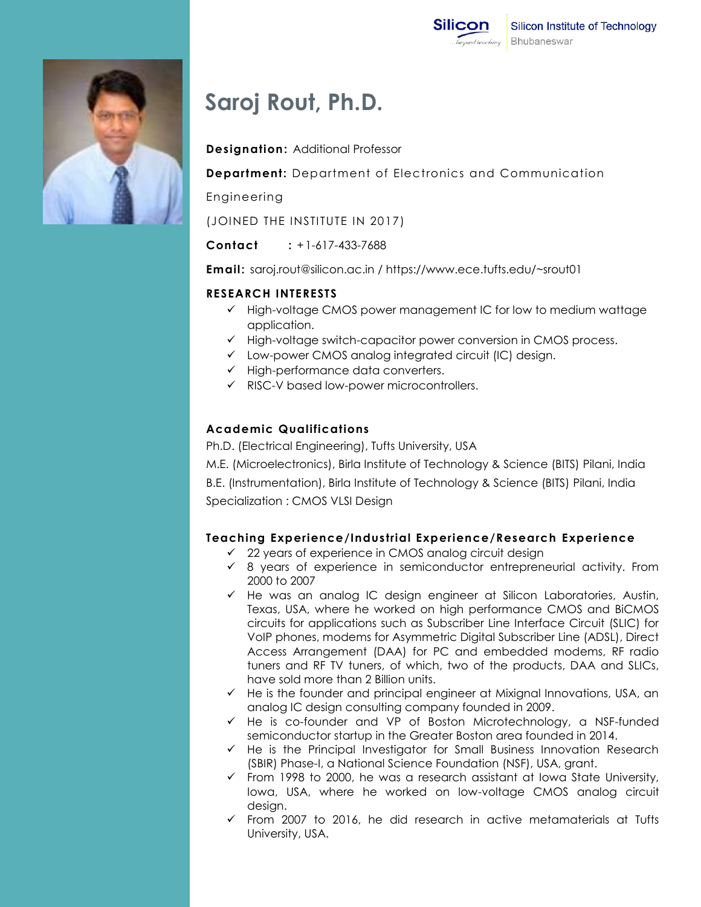

# **Saroj Rout, Ph.D.**

**Designation:** Additional Professor

**Department:** Department of Electronics and Communication

Engineering

(JOINED THE INSTITUTE IN 2017)

**Contact :** +1-617-433-7688

**Email:** saroj.rout@silicon.ac.in / https://www.ece.tufts.edu/~srout01

### **RESEARCH INTERESTS**

- $\checkmark$  High-voltage CMOS power management IC for low to medium wattage application.
- $\checkmark$  High-voltage switch-capacitor power conversion in CMOS process.
- Low-power CMOS analog integrated circuit (IC) design.
- $\checkmark$  High-performance data converters.
- RISC-V based low-power microcontrollers.

## **Academic Qualifications**

Ph.D. (Electrical Engineering), Tufts University, USA

M.E. (Microelectronics), Birla Institute of Technology & Science (BITS) Pilani, India B.E. (Instrumentation), Birla Institute of Technology & Science (BITS) Pilani, India Specialization : CMOS VLSI Design

## **Teaching Experience/Industrial Experience/Research Experience**

- $\checkmark$  22 years of experience in CMOS analog circuit design
- $\checkmark$  8 years of experience in semiconductor entrepreneurial activity. From 2000 to 2007
- $\checkmark$  He was an analog IC design engineer at Silicon Laboratories, Austin, Texas, USA, where he worked on high performance CMOS and BiCMOS circuits for applications such as Subscriber Line Interface Circuit (SLIC) for VoIP phones, modems for Asymmetric Digital Subscriber Line (ADSL), Direct Access Arrangement (DAA) for PC and embedded modems, RF radio tuners and RF TV tuners, of which, two of the products, DAA and SLICs, have sold more than 2 Billion units.
- $\checkmark$  He is the founder and principal engineer at Mixignal Innovations, USA, an analog IC design consulting company founded in 2009.
- $\checkmark$  He is co-founder and VP of Boston Microtechnology, a NSF-funded semiconductor startup in the Greater Boston area founded in 2014.
- $\checkmark$  He is the Principal Investigator for Small Business Innovation Research (SBIR) Phase-I, a National Science Foundation (NSF), USA, grant.
- $\checkmark$  From 1998 to 2000, he was a research assistant at Iowa State University, Iowa, USA, where he worked on low-voltage CMOS analog circuit design.
- $\checkmark$  From 2007 to 2016, he did research in active metamaterials at Tufts University, USA.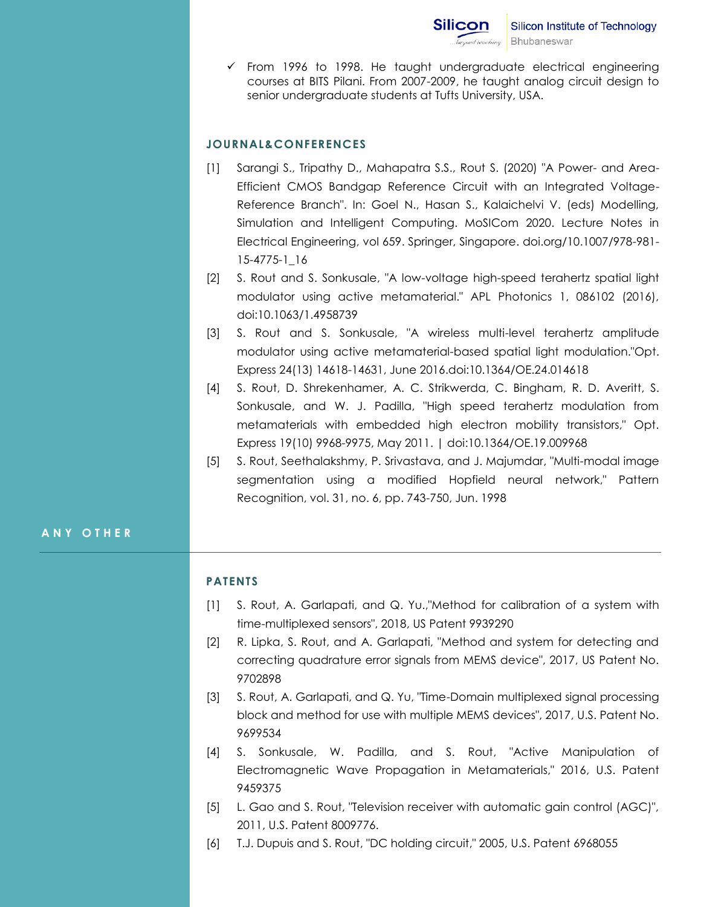$\checkmark$  From 1996 to 1998. He taught undergraduate electrical engineering courses at BITS Pilani. From 2007-2009, he taught analog circuit design to senior undergraduate students at Tufts University, USA.

#### **JOURNAL&CONFERENCES**

- [1] Sarangi S., Tripathy D., Mahapatra S.S., Rout S. (2020) "A Power- and Area-Efficient CMOS Bandgap Reference Circuit with an Integrated Voltage-Reference Branch". In: Goel N., Hasan S., Kalaichelvi V. (eds) Modelling, Simulation and Intelligent Computing. MoSICom 2020. Lecture Notes in Electrical Engineering, vol 659. Springer, Singapore. doi.org/10.1007/978-981- 15-4775-1\_16
- [2] S. Rout and S. Sonkusale, "A low-voltage high-speed terahertz spatial light modulator using active metamaterial." APL Photonics 1, 086102 (2016), doi:10.1063/1.4958739
- [3] S. Rout and S. Sonkusale, "A wireless multi-level terahertz amplitude modulator using active metamaterial-based spatial light modulation."Opt. Express 24(13) 14618-14631, June 2016.doi:10.1364/OE.24.014618
- [4] S. Rout, D. Shrekenhamer, A. C. Strikwerda, C. Bingham, R. D. Averitt, S. Sonkusale, and W. J. Padilla, "High speed terahertz modulation from metamaterials with embedded high electron mobility transistors," Opt. Express 19(10) 9968-9975, May 2011. | doi:10.1364/OE.19.009968
- [5] S. Rout, Seethalakshmy, P. Srivastava, and J. Majumdar, "Multi-modal image segmentation using a modified Hopfield neural network," Pattern Recognition, vol. 31, no. 6, pp. 743-750, Jun. 1998

#### **A N Y O T H E R**

#### **PATENTS**

- [1] S. Rout, A. Garlapati, and Q. Yu.,"Method for calibration of a system with time-multiplexed sensors", 2018, US Patent 9939290
- [2] R. Lipka, S. Rout, and A. Garlapati, "Method and system for detecting and correcting quadrature error signals from MEMS device", 2017, US Patent No. 9702898
- [3] S. Rout, A. Garlapati, and Q. Yu, "Time-Domain multiplexed signal processing block and method for use with multiple MEMS devices", 2017, U.S. Patent No. 9699534
- [4] S. Sonkusale, W. Padilla, and S. Rout, "Active Manipulation of Electromagnetic Wave Propagation in Metamaterials," 2016, U.S. Patent 9459375
- [5] L. Gao and S. Rout, "Television receiver with automatic gain control (AGC)", 2011, U.S. Patent 8009776.
- [6] T.J. Dupuis and S. Rout, "DC holding circuit," 2005, U.S. Patent 6968055